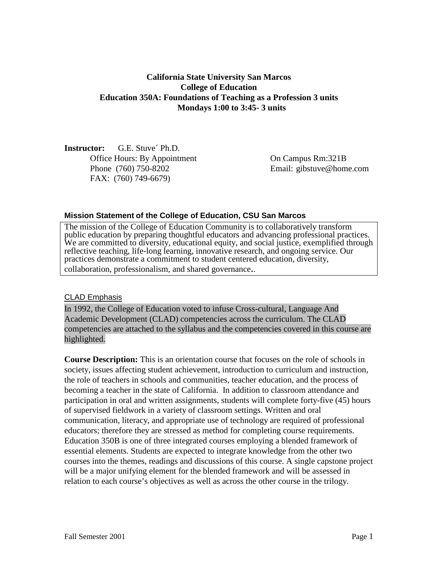# **California State University San Marcos College of Education Education 350A: Foundations of Teaching as a Profession 3 units Mondays 1:00 to 3:45- 3 units**

**Instructor:** G.E. Stuve´ Ph.D. Office Hours: By Appointment On Campus Rm:321B Phone (760) 750-8202 Email: gibstuve@home.com FAX: (760) 749-6679)

#### **Mission Statement of the College of Education, CSU San Marcos**

The mission of the College of Education Community is to collaboratively transform public education by preparing thoughtful educators and advancing professional practices. We are committed to diversity, educational equity, and social justice, exemplified through reflective teaching, life-long learning, innovative research, and ongoing service. Our practices demonstrate a commitment to student centered education, diversity, collaboration, professionalism, and shared governance..

#### CLAD Emphasis

In 1992, the College of Education voted to infuse Cross-cultural, Language And Academic Development (CLAD) competencies across the curriculum. The CLAD competencies are attached to the syllabus and the competencies covered in this course are highlighted.

**Course Description:** This is an orientation course that focuses on the role of schools in society, issues affecting student achievement, introduction to curriculum and instruction, the role of teachers in schools and communities, teacher education, and the process of becoming a teacher in the state of California. In addition to classroom attendance and participation in oral and written assignments, students will complete forty-five (45) hours of supervised fieldwork in a variety of classroom settings. Written and oral communication, literacy, and appropriate use of technology are required of professional educators; therefore they are stressed as method for completing course requirements. Education 350B is one of three integrated courses employing a blended framework of essential elements. Students are expected to integrate knowledge from the other two courses into the themes, readings and discussions of this course. A single capstone project will be a major unifying element for the blended framework and will be assessed in relation to each course's objectives as well as across the other course in the trilogy.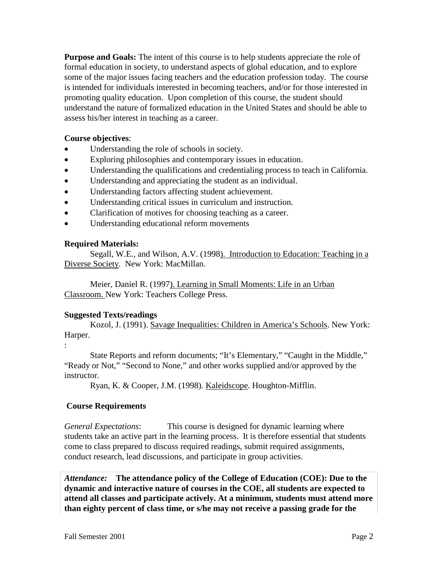**Purpose and Goals:** The intent of this course is to help students appreciate the role of formal education in society, to understand aspects of global education, and to explore some of the major issues facing teachers and the education profession today. The course is intended for individuals interested in becoming teachers, and/or for those interested in promoting quality education. Upon completion of this course, the student should understand the nature of formalized education in the United States and should be able to assess his/her interest in teaching as a career.

### **Course objectives**:

- Understanding the role of schools in society.
- Exploring philosophies and contemporary issues in education.
- Understanding the qualifications and credentialing process to teach in California.
- Understanding and appreciating the student as an individual.
- Understanding factors affecting student achievement.
- Understanding critical issues in curriculum and instruction.
- Clarification of motives for choosing teaching as a career.
- Understanding educational reform movements

## **Required Materials:**

Segall, W.E., and Wilson, A.V. (1998). Introduction to Education: Teaching in a Diverse Society. New York: MacMillan.

Meier, Daniel R. (1997). Learning in Small Moments: Life in an Urban Classroom. New York: Teachers College Press.

## **Suggested Texts/readings**

:

Kozol, J. (1991). Savage Inequalities: Children in America's Schools. New York: Harper.

State Reports and reform documents; "It's Elementary," "Caught in the Middle," "Ready or Not," "Second to None," and other works supplied and/or approved by the instructor.

Ryan, K. & Cooper, J.M. (1998). Kaleidscope. Houghton-Mifflin.

## **Course Requirements**

*General Expectations*: This course is designed for dynamic learning where students take an active part in the learning process. It is therefore essential that students come to class prepared to discuss required readings, submit required assignments, conduct research, lead discussions, and participate in group activities.

*Attendance:* **The attendance policy of the College of Education (COE): Due to the dynamic and interactive nature of courses in the COE, all students are expected to attend all classes and participate actively. At a minimum, students must attend more than eighty percent of class time, or s/he may not receive a passing grade for the**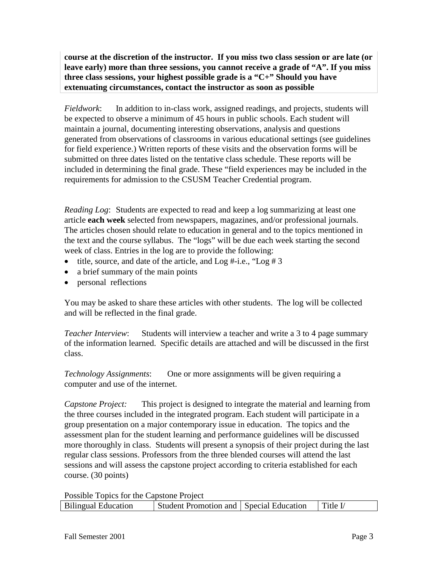**course at the discretion of the instructor. If you miss two class session or are late (or leave early) more than three sessions, you cannot receive a grade of "A". If you miss three class sessions, your highest possible grade is a "C+" Should you have extenuating circumstances, contact the instructor as soon as possible**

*Fieldwork*: In addition to in-class work, assigned readings, and projects, students will be expected to observe a minimum of 45 hours in public schools. Each student will maintain a journal, documenting interesting observations, analysis and questions generated from observations of classrooms in various educational settings (see guidelines for field experience.) Written reports of these visits and the observation forms will be submitted on three dates listed on the tentative class schedule. These reports will be included in determining the final grade. These "field experiences may be included in the requirements for admission to the CSUSM Teacher Credential program.

*Reading Log*: Students are expected to read and keep a log summarizing at least one article **each week** selected from newspapers, magazines, and/or professional journals. The articles chosen should relate to education in general and to the topics mentioned in the text and the course syllabus. The "logs" will be due each week starting the second week of class. Entries in the log are to provide the following:

- title, source, and date of the article, and  $Log #-i.e., "Log #3"$
- a brief summary of the main points
- personal reflections

You may be asked to share these articles with other students. The log will be collected and will be reflected in the final grade.

*Teacher Interview*: Students will interview a teacher and write a 3 to 4 page summary of the information learned. Specific details are attached and will be discussed in the first class.

*Technology Assignments*: One or more assignments will be given requiring a computer and use of the internet.

*Capstone Project:* This project is designed to integrate the material and learning from the three courses included in the integrated program. Each student will participate in a group presentation on a major contemporary issue in education. The topics and the assessment plan for the student learning and performance guidelines will be discussed more thoroughly in class. Students will present a synopsis of their project during the last regular class sessions. Professors from the three blended courses will attend the last sessions and will assess the capstone project according to criteria established for each course. (30 points)

Possible Topics for the Capstone Project Bilingual Education Student Promotion and Special Education Title I